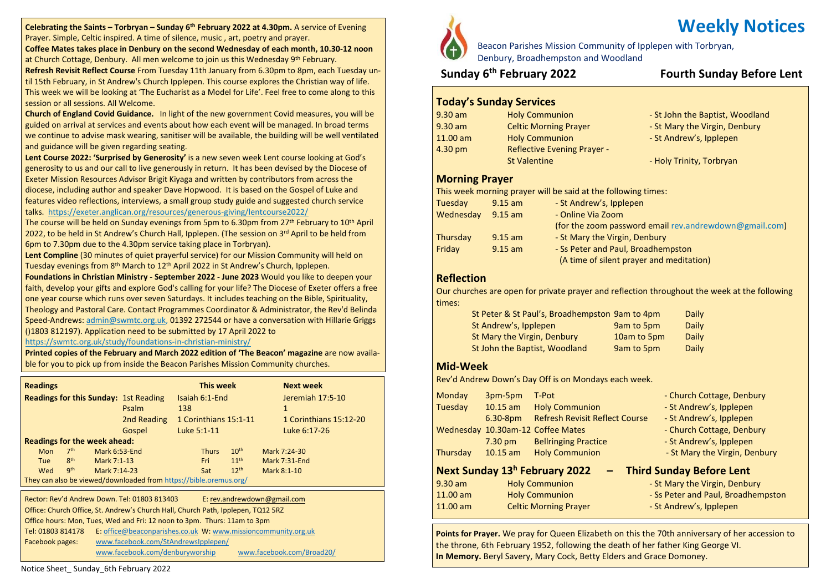**Celebrating the Saints – Torbryan – Sunday 6 th February 2022 at 4.30pm.** A service of Evening Prayer. Simple, Celtic inspired. A time of silence, music , art, poetry and prayer.

**Coffee Mates takes place in Denbury on the second Wednesday of each month, 10.30-12 noon** at Church Cottage, Denbury. All men welcome to join us this Wednesday 9<sup>th</sup> February.

**Refresh Revisit Reflect Course** From Tuesday 11th January from 6.30pm to 8pm, each Tuesday until 15th February, in St Andrew's Church Ipplepen. This course explores the Christian way of life. This week we will be looking at 'The Eucharist as a Model for Life'. Feel free to come along to this session or all sessions. All Welcome.

**Church of England Covid Guidance.** In light of the new government Covid measures, you will be guided on arrival at services and events about how each event will be managed. In broad terms we continue to advise mask wearing, sanitiser will be available, the building will be well ventilated and guidance will be given regarding seating.

**Lent Course 2022: 'Surprised by Generosity'** is a new seven week Lent course looking at God's generosity to us and our call to live generously in return. It has been devised by the Diocese of Exeter Mission Resources Advisor Brigit Kiyaga and written by contributors from across the diocese, including author and speaker Dave Hopwood. It is based on the Gospel of Luke and features video reflections, interviews, a small group study guide and suggested church service

#### talks. <https://exeter.anglican.org/resources/generous-giving/lentcourse2022/>

The course will be held on Sunday evenings from 5pm to 6.30pm from 27<sup>th</sup> February to 10<sup>th</sup> April 2022, to be held in St Andrew's Church Hall, Ipplepen. (The session on 3<sup>rd</sup> April to be held from 6pm to 7.30pm due to the 4.30pm service taking place in Torbryan).

**Lent Compline** (30 minutes of quiet prayerful service) for our Mission Community will held on Tuesday evenings from 8<sup>th</sup> March to 12<sup>th</sup> April 2022 in St Andrew's Church, Ipplepen.

**Foundations in Christian Ministry - September 2022 - June 2023** Would you like to deepen your faith, develop your gifts and explore God's calling for your life? The Diocese of Exeter offers a free one year course which runs over seven Saturdays. It includes teaching on the Bible, Spirituality, Theology and Pastoral Care. Contact Programmes Coordinator & Administrator, the Rev'd Belinda Speed-Andrews: [admin@swmtc.org.uk,](mailto:admin@swmtc.org.uk) 01392 272544 or have a conversation with Hillarie Griggs ()1803 812197). Application need to be submitted by 17 April 2022 to

<https://swmtc.org.uk/study/foundations-in-christian-ministry/>

**Printed copies of the February and March 2022 edition of 'The Beacon' magazine** are now available for you to pick up from inside the Beacon Parishes Mission Community churches.

| <b>Readings</b>                                                   |                 |                                     | This week   |                |              | <b>Next week</b>      |                        |
|-------------------------------------------------------------------|-----------------|-------------------------------------|-------------|----------------|--------------|-----------------------|------------------------|
| <b>Readings for this Sunday: 1st Reading</b>                      |                 |                                     |             | Isaiah 6:1-End |              | Jeremiah 17:5-10      |                        |
|                                                                   |                 |                                     | Psalm       | 138            |              |                       | $\mathbf{1}$           |
|                                                                   |                 |                                     | 2nd Reading |                |              | 1 Corinthians 15:1-11 | 1 Corinthians 15:12-20 |
|                                                                   |                 |                                     | Gospel      |                | Luke 5:1-11  |                       | Luke 6:17-26           |
|                                                                   |                 | <b>Readings for the week ahead:</b> |             |                |              |                       |                        |
| <b>Mon</b>                                                        | 7 <sup>th</sup> | Mark 6:53-End                       |             |                | <b>Thurs</b> | 10 <sup>th</sup>      | Mark 7:24-30           |
| <b>Tue</b>                                                        | 8 <sup>th</sup> | Mark 7:1-13                         |             |                | Fri          | 11 <sup>th</sup>      | Mark 7:31-End          |
| Wed                                                               | <b>gth</b>      | Mark 7:14-23                        |             |                | Sat          | 12 <sup>th</sup>      | Mark 8:1-10            |
| They can also be viewed/downloaded from https://bible.oremus.org/ |                 |                                     |             |                |              |                       |                        |

Tel: 01803 814178 Rector: Rev'd Andrew Down. Tel: 01803 813403 E: [rev.andrewdown@gmail.com](mailto:rev.andrewdown@gmail.com) Office: Church Office, St. Andrew's Church Hall, Church Path, Ipplepen, TQ12 5RZ Office hours: Mon, Tues, Wed and Fri: 12 noon to 3pm. Thurs: 11am to 3pm E: [office@beaconparishes.co.uk](mailto:office@beaconparishes.co.uk) W: [www.missioncommunity.org.uk](http://www.missioncommunity.org.uk/) Facebook pages: [www.facebook.com/StAndrewsIpplepen/](http://www.facebook.com/StAndrewsIpplepen/) [www.facebook.com/denburyworship](http://www.facebook.com/denburyworship) [www.facebook.com/Broad20/](http://www.facebook.com/Broad20/)



Beacon Parishes Mission Community of Ipplepen with Torbryan, Denbury, Broadhempston and Woodland

## **Sunday 6**

## **th February 2022 Fourth Sunday Before Lent**

### **Today's Sunday Services**

9.30 am Holy Communion - St John the Baptist, Woodland 9.30 am Celtic Morning Prayer - St Mary the Virgin, Denbury 11.00 am Holy Communion - St Andrew's, Ipplepen 4.30 pm Reflective Evening Prayer - St Valentine - Holy Trinity, Torbryan

#### **Morning Prayer**

This week morning prayer will be said at the following times:

| Tuesday   | $9.15$ am | - St Andrew's, Ipplepen                                |
|-----------|-----------|--------------------------------------------------------|
| Wednesday | $9.15$ am | - Online Via Zoom                                      |
|           |           | (for the zoom password email rev.andrewdown@gmail.com) |
| Thursday  | $9.15$ am | - St Mary the Virgin, Denbury                          |
| Friday    | $9.15$ am | - Ss Peter and Paul, Broadhempston                     |
|           |           | (A time of silent prayer and meditation)               |

### **Reflection**

Our churches are open for private prayer and reflection throughout the week at the following times:

| St Peter & St Paul's, Broadhempston 9am to 4pm |             | Daily |
|------------------------------------------------|-------------|-------|
| St Andrew's, Ipplepen                          | 9am to 5pm  | Daily |
| St Mary the Virgin, Denbury                    | 10am to 5pm | Daily |
| St John the Baptist, Woodland                  | 9am to 5pm  | Daily |

#### **Mid-Week**

Rev'd Andrew Down's Day Off is on Mondays each week.

| <b>Monday</b> | 3pm-5pm           | T-Pot                                     | - Church Cottage, Denbury          |  |  |
|---------------|-------------------|-------------------------------------------|------------------------------------|--|--|
| Tuesday       | $10.15$ am        | <b>Holy Communion</b>                     | - St Andrew's, Ipplepen            |  |  |
|               | $6.30-8pm$        | <b>Refresh Revisit Reflect Course</b>     | - St Andrew's, Ipplepen            |  |  |
|               |                   | Wednesday 10.30am-12 Coffee Mates         | - Church Cottage, Denbury          |  |  |
|               | $7.30 \text{ pm}$ | <b>Bellringing Practice</b>               | - St Andrew's, Ipplepen            |  |  |
| Thursday      | $10.15$ am        | <b>Holy Communion</b>                     | - St Mary the Virgin, Denbury      |  |  |
|               |                   | Next Sunday 13 <sup>h</sup> February 2022 | <b>Third Sunday Before Lent</b>    |  |  |
| $9.30$ am     |                   | <b>Holy Communion</b>                     | - St Mary the Virgin, Denbury      |  |  |
| 11.00 am      |                   | <b>Holy Communion</b>                     | - Ss Peter and Paul, Broadhempston |  |  |
| 11.00 am      |                   | <b>Celtic Morning Prayer</b>              | - St Andrew's, Ipplepen            |  |  |
|               |                   |                                           |                                    |  |  |

**Points for Prayer.** We pray for Queen Elizabeth on this the 70th anniversary of her accession to the throne, 6th February 1952, following the death of her father King George VI. **In Memory.** Beryl Savery, Mary Cock, Betty Elders and Grace Domoney.

# **Weekly Notices**

Notice Sheet\_ Sunday\_6th February 2022